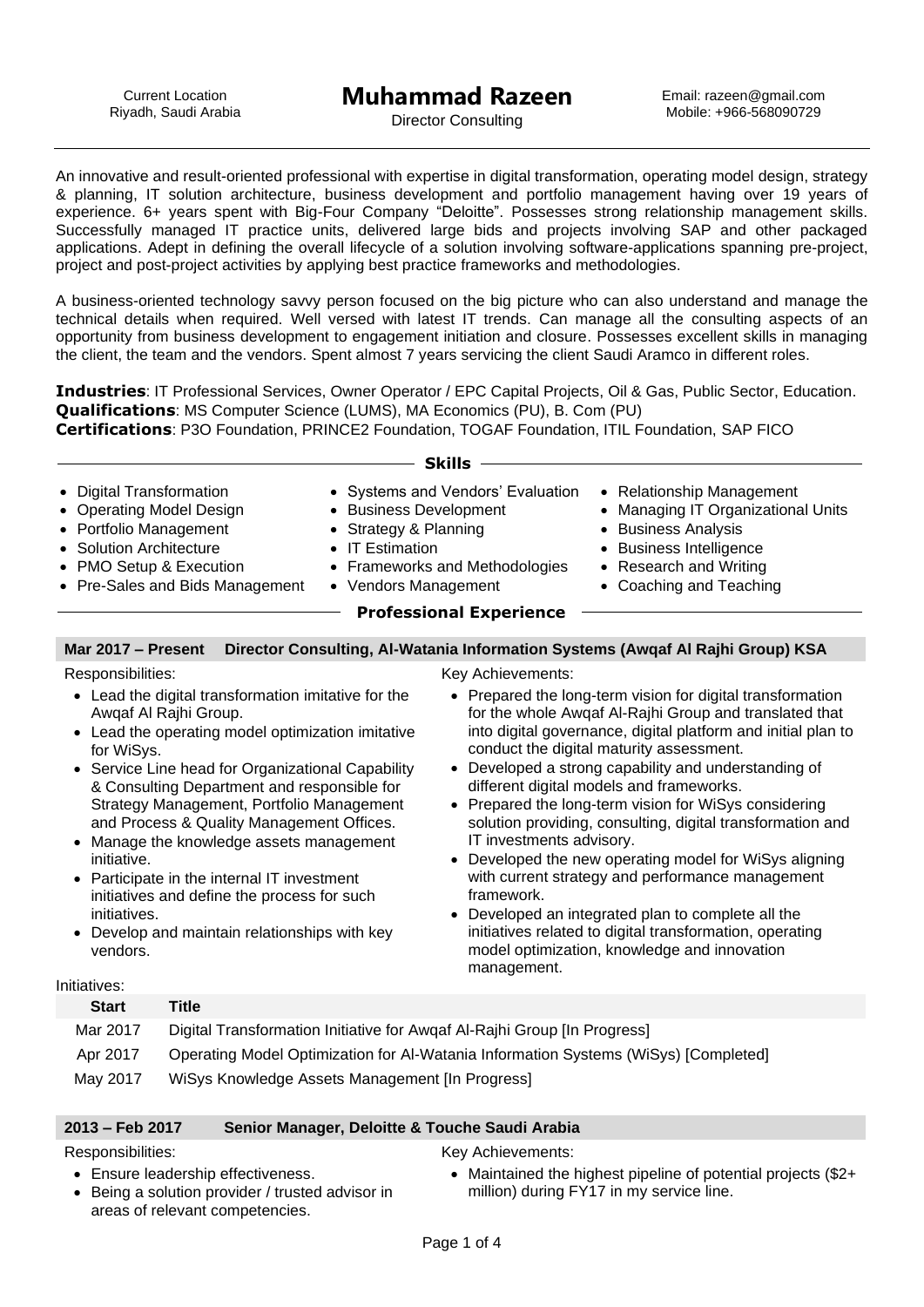Email: razeen@gmail.com Mobile: +966-568090729

Director Consulting

An innovative and result-oriented professional with expertise in digital transformation, operating model design, strategy & planning, IT solution architecture, business development and portfolio management having over 19 years of experience. 6+ years spent with Big-Four Company "Deloitte". Possesses strong relationship management skills. Successfully managed IT practice units, delivered large bids and projects involving SAP and other packaged applications. Adept in defining the overall lifecycle of a solution involving software-applications spanning pre-project, project and post-project activities by applying best practice frameworks and methodologies.

A business-oriented technology savvy person focused on the big picture who can also understand and manage the technical details when required. Well versed with latest IT trends. Can manage all the consulting aspects of an opportunity from business development to engagement initiation and closure. Possesses excellent skills in managing the client, the team and the vendors. Spent almost 7 years servicing the client Saudi Aramco in different roles.

**Industries**: IT Professional Services, Owner Operator / EPC Capital Projects, Oil & Gas, Public Sector, Education. **Qualifications**: MS Computer Science (LUMS), MA Economics (PU), B. Com (PU) **Certifications**: P3O Foundation, PRINCE2 Foundation, TOGAF Foundation, ITIL Foundation, SAP FICO

|                                                                                                                                                                                                                                              |                                                                                                                                                                                                                                                                                                                                                                                                                                                                                                                  |                                                                                                               | <b>Skills</b>                                                                           |                                                                                                                                                                                                                                                                                                                                                                                                                                                                                                                                                                                                                                                                                                                                      |
|----------------------------------------------------------------------------------------------------------------------------------------------------------------------------------------------------------------------------------------------|------------------------------------------------------------------------------------------------------------------------------------------------------------------------------------------------------------------------------------------------------------------------------------------------------------------------------------------------------------------------------------------------------------------------------------------------------------------------------------------------------------------|---------------------------------------------------------------------------------------------------------------|-----------------------------------------------------------------------------------------|--------------------------------------------------------------------------------------------------------------------------------------------------------------------------------------------------------------------------------------------------------------------------------------------------------------------------------------------------------------------------------------------------------------------------------------------------------------------------------------------------------------------------------------------------------------------------------------------------------------------------------------------------------------------------------------------------------------------------------------|
| <b>Digital Transformation</b><br>$\bullet$<br><b>Operating Model Design</b><br>$\bullet$<br>$\bullet$<br>• Portfolio Management<br>• Solution Architecture<br><b>PMO Setup &amp; Execution</b><br>Pre-Sales and Bids Management<br>$\bullet$ |                                                                                                                                                                                                                                                                                                                                                                                                                                                                                                                  | <b>Business Development</b><br><b>Strategy &amp; Planning</b><br><b>IT Estimation</b><br>• Vendors Management | • Systems and Vendors' Evaluation<br><b>Frameworks and Methodologies</b>                | • Relationship Management<br>Managing IT Organizational Units<br>$\bullet$<br><b>Business Analysis</b><br>$\bullet$<br><b>Business Intelligence</b><br><b>Research and Writing</b><br>$\bullet$<br>• Coaching and Teaching                                                                                                                                                                                                                                                                                                                                                                                                                                                                                                           |
|                                                                                                                                                                                                                                              |                                                                                                                                                                                                                                                                                                                                                                                                                                                                                                                  |                                                                                                               | <b>Professional Experience</b>                                                          |                                                                                                                                                                                                                                                                                                                                                                                                                                                                                                                                                                                                                                                                                                                                      |
| Mar 2017 - Present                                                                                                                                                                                                                           |                                                                                                                                                                                                                                                                                                                                                                                                                                                                                                                  |                                                                                                               |                                                                                         | Director Consulting, Al-Watania Information Systems (Awqaf Al Rajhi Group) KSA                                                                                                                                                                                                                                                                                                                                                                                                                                                                                                                                                                                                                                                       |
| Responsibilities:<br>for WiSys.<br>initiative.<br>initiatives.<br>vendors.<br>Initiatives:                                                                                                                                                   | • Lead the digital transformation imitative for the<br>Awqaf Al Rajhi Group.<br>Lead the operating model optimization imitative<br>Service Line head for Organizational Capability<br>& Consulting Department and responsible for<br>Strategy Management, Portfolio Management<br>and Process & Quality Management Offices.<br>Manage the knowledge assets management<br>Participate in the internal IT investment<br>initiatives and define the process for such<br>Develop and maintain relationships with key |                                                                                                               | Key Achievements:<br>$\bullet$<br>IT investments advisory.<br>framework.<br>management. | • Prepared the long-term vision for digital transformation<br>for the whole Awqaf Al-Rajhi Group and translated that<br>into digital governance, digital platform and initial plan to<br>conduct the digital maturity assessment.<br>Developed a strong capability and understanding of<br>different digital models and frameworks.<br>Prepared the long-term vision for WiSys considering<br>solution providing, consulting, digital transformation and<br>Developed the new operating model for WiSys aligning<br>with current strategy and performance management<br>Developed an integrated plan to complete all the<br>initiatives related to digital transformation, operating<br>model optimization, knowledge and innovation |
| <b>Start</b>                                                                                                                                                                                                                                 | <b>Title</b>                                                                                                                                                                                                                                                                                                                                                                                                                                                                                                     |                                                                                                               |                                                                                         |                                                                                                                                                                                                                                                                                                                                                                                                                                                                                                                                                                                                                                                                                                                                      |
| Mar 2017<br>Apr 2017<br>May 2017                                                                                                                                                                                                             | Digital Transformation Initiative for Awgaf Al-Rajhi Group [In Progress]<br>WiSys Knowledge Assets Management [In Progress]                                                                                                                                                                                                                                                                                                                                                                                      |                                                                                                               |                                                                                         | Operating Model Optimization for Al-Watania Information Systems (WiSys) [Completed]                                                                                                                                                                                                                                                                                                                                                                                                                                                                                                                                                                                                                                                  |

## **2013 – Feb 2017 Senior Manager, Deloitte & Touche Saudi Arabia**

Responsibilities:

Key Achievements:

- Ensure leadership effectiveness.
- Being a solution provider / trusted advisor in areas of relevant competencies.
- Maintained the highest pipeline of potential projects (\$2+ million) during FY17 in my service line.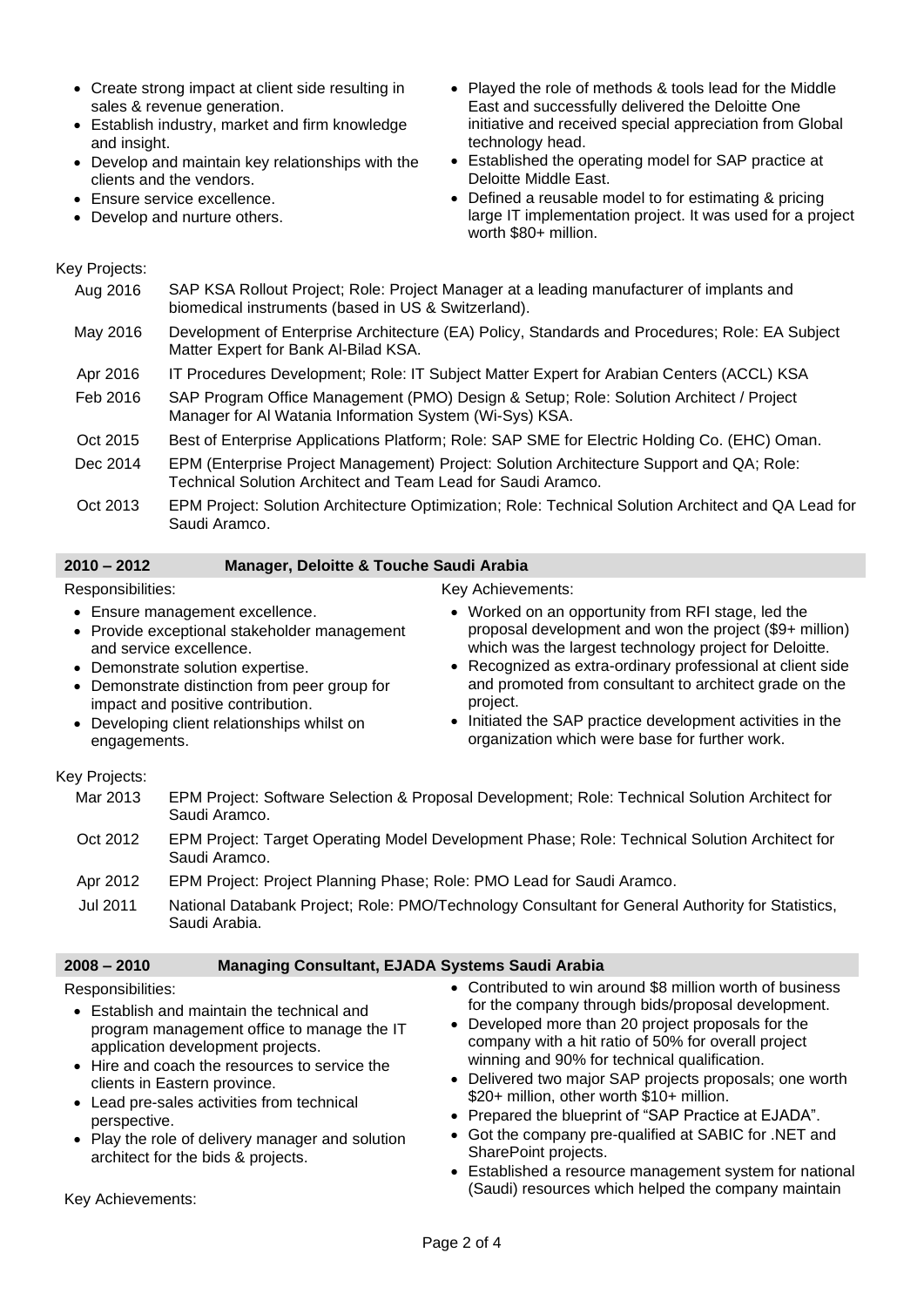- Create strong impact at client side resulting in sales & revenue generation.
- Establish industry, market and firm knowledge and insight.
- Develop and maintain key relationships with the clients and the vendors.
- Ensure service excellence.
- Develop and nurture others.
- Played the role of methods & tools lead for the Middle East and successfully delivered the Deloitte One initiative and received special appreciation from Global technology head.
- Established the operating model for SAP practice at Deloitte Middle East.
- Defined a reusable model to for estimating & pricing large IT implementation project. It was used for a project worth \$80+ million.

### Key Projects:

| Aug 2016 | SAP KSA Rollout Project; Role: Project Manager at a leading manufacturer of implants and<br>biomedical instruments (based in US & Switzerland).          |
|----------|----------------------------------------------------------------------------------------------------------------------------------------------------------|
| May 2016 | Development of Enterprise Architecture (EA) Policy, Standards and Procedures; Role: EA Subject<br>Matter Expert for Bank Al-Bilad KSA.                   |
| Apr 2016 | IT Procedures Development; Role: IT Subject Matter Expert for Arabian Centers (ACCL) KSA                                                                 |
| Feb 2016 | SAP Program Office Management (PMO) Design & Setup; Role: Solution Architect / Project<br>Manager for Al Watania Information System (Wi-Sys) KSA.        |
| Oct 2015 | Best of Enterprise Applications Platform; Role: SAP SME for Electric Holding Co. (EHC) Oman.                                                             |
| Dec 2014 | EPM (Enterprise Project Management) Project: Solution Architecture Support and QA; Role:<br>Technical Solution Architect and Team Lead for Saudi Aramco. |
| Oct 2013 | EPM Project: Solution Architecture Optimization; Role: Technical Solution Architect and QA Lead for<br>Saudi Aramco.                                     |

## **2010 – 2012 Manager, Deloitte & Touche Saudi Arabia**

#### Responsibilities:

- Ensure management excellence.
- Provide exceptional stakeholder management and service excellence.
- Demonstrate solution expertise.
- Demonstrate distinction from peer group for impact and positive contribution.
- Developing client relationships whilst on engagements.

#### Key Achievements:

- Worked on an opportunity from RFI stage, led the proposal development and won the project (\$9+ million) which was the largest technology project for Deloitte.
- Recognized as extra-ordinary professional at client side and promoted from consultant to architect grade on the project.
- Initiated the SAP practice development activities in the organization which were base for further work.

#### Key Projects:

- Mar 2013 EPM Project: Software Selection & Proposal Development; Role: Technical Solution Architect for Saudi Aramco.
- Oct 2012 EPM Project: Target Operating Model Development Phase; Role: Technical Solution Architect for Saudi Aramco.
- Apr 2012 EPM Project: Project Planning Phase; Role: PMO Lead for Saudi Aramco.
- Jul 2011 National Databank Project; Role: PMO/Technology Consultant for General Authority for Statistics, Saudi Arabia.

## **2008 – 2010 Managing Consultant, EJADA Systems Saudi Arabia**

#### Responsibilities:

- Establish and maintain the technical and program management office to manage the IT application development projects.
- Hire and coach the resources to service the clients in Eastern province.
- Lead pre-sales activities from technical perspective.
- Play the role of delivery manager and solution architect for the bids & projects.
- Contributed to win around \$8 million worth of business for the company through bids/proposal development.
- Developed more than 20 project proposals for the company with a hit ratio of 50% for overall project winning and 90% for technical qualification.
- Delivered two major SAP projects proposals; one worth \$20+ million, other worth \$10+ million.
- Prepared the blueprint of "SAP Practice at EJADA".
- Got the company pre-qualified at SABIC for .NET and SharePoint projects.
- Established a resource management system for national (Saudi) resources which helped the company maintain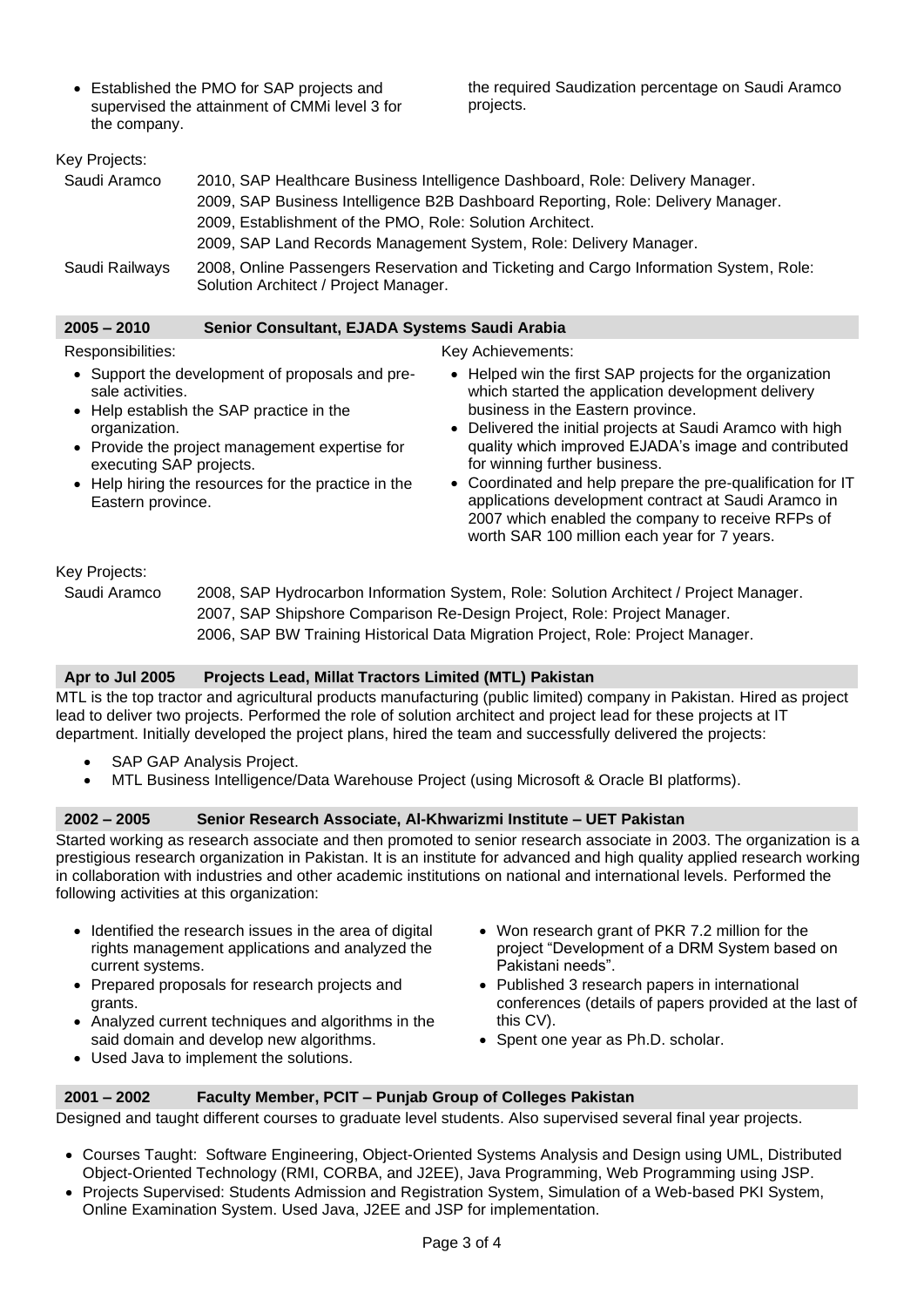• Established the PMO for SAP projects and supervised the attainment of CMMi level 3 for the company.

the required Saudization percentage on Saudi Aramco projects.

# Key Projects: Saudi Aramco 2010, SAP Healthcare Business Intelligence Dashboard, Role: Delivery Manager. 2009, SAP Business Intelligence B2B Dashboard Reporting, Role: Delivery Manager. 2009, Establishment of the PMO, Role: Solution Architect. 2009, SAP Land Records Management System, Role: Delivery Manager. Saudi Railways 2008, Online Passengers Reservation and Ticketing and Cargo Information System, Role: Solution Architect / Project Manager.

| 2005 – 2010 | Senior Consultant, EJADA Systems Saudi Arabia |
|-------------|-----------------------------------------------|
|             |                                               |

## Responsibilities:

- Support the development of proposals and presale activities.
- Help establish the SAP practice in the organization.
- Provide the project management expertise for executing SAP projects.
- Help hiring the resources for the practice in the Eastern province.

## Key Achievements:

- Helped win the first SAP projects for the organization which started the application development delivery business in the Eastern province.
- Delivered the initial projects at Saudi Aramco with high quality which improved EJADA's image and contributed for winning further business.
- Coordinated and help prepare the pre-qualification for IT applications development contract at Saudi Aramco in 2007 which enabled the company to receive RFPs of worth SAR 100 million each year for 7 years.

## Key Projects:

Saudi Aramco 2008, SAP Hydrocarbon Information System, Role: Solution Architect / Project Manager. 2007, SAP Shipshore Comparison Re-Design Project, Role: Project Manager. 2006, SAP BW Training Historical Data Migration Project, Role: Project Manager.

## **Apr to Jul 2005 Projects Lead, Millat Tractors Limited (MTL) Pakistan**

MTL is the top tractor and agricultural products manufacturing (public limited) company in Pakistan. Hired as project lead to deliver two projects. Performed the role of solution architect and project lead for these projects at IT department. Initially developed the project plans, hired the team and successfully delivered the projects:

- SAP GAP Analysis Project.
- MTL Business Intelligence/Data Warehouse Project (using Microsoft & Oracle BI platforms).

## **2002 – 2005 Senior Research Associate, Al-Khwarizmi Institute – UET Pakistan**

Started working as research associate and then promoted to senior research associate in 2003. The organization is a prestigious research organization in Pakistan. It is an institute for advanced and high quality applied research working in collaboration with industries and other academic institutions on national and international levels. Performed the following activities at this organization:

- Identified the research issues in the area of digital rights management applications and analyzed the current systems.
- Prepared proposals for research projects and grants.
- Analyzed current techniques and algorithms in the said domain and develop new algorithms.
- Used Java to implement the solutions.
- Won research grant of PKR 7.2 million for the project "Development of a DRM System based on Pakistani needs".
- Published 3 research papers in international conferences (details of papers provided at the last of this CV).
- Spent one year as Ph.D. scholar.

## **2001 – 2002 Faculty Member, PCIT – Punjab Group of Colleges Pakistan**

Designed and taught different courses to graduate level students. Also supervised several final year projects.

- Courses Taught: Software Engineering, Object-Oriented Systems Analysis and Design using UML, Distributed Object-Oriented Technology (RMI, CORBA, and J2EE), Java Programming, Web Programming using JSP.
- Projects Supervised: Students Admission and Registration System, Simulation of a Web-based PKI System, Online Examination System. Used Java, J2EE and JSP for implementation.